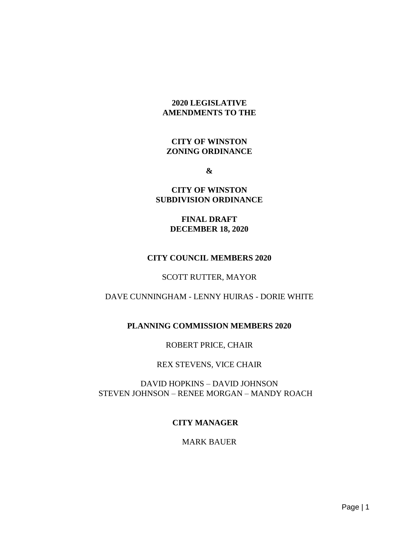### **2020 LEGISLATIVE AMENDMENTS TO THE**

### **CITY OF WINSTON ZONING ORDINANCE**

**&**

#### **CITY OF WINSTON SUBDIVISION ORDINANCE**

### **FINAL DRAFT DECEMBER 18, 2020**

# **CITY COUNCIL MEMBERS 2020**

#### SCOTT RUTTER, MAYOR

# DAVE CUNNINGHAM - LENNY HUIRAS - DORIE WHITE

# **PLANNING COMMISSION MEMBERS 2020**

#### ROBERT PRICE, CHAIR

#### REX STEVENS, VICE CHAIR

# DAVID HOPKINS – DAVID JOHNSON STEVEN JOHNSON – RENEE MORGAN – MANDY ROACH

# **CITY MANAGER**

#### MARK BAUER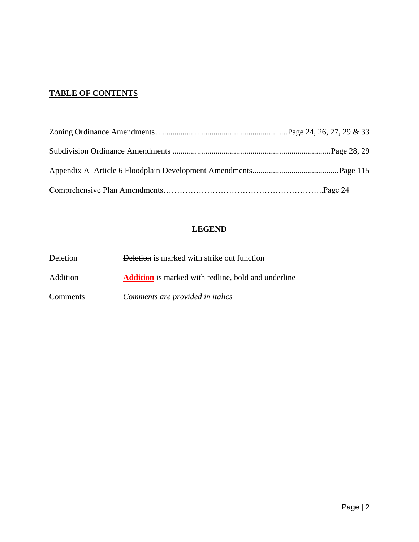# **TABLE OF CONTENTS**

# **LEGEND**

| Deletion        | Deletion is marked with strike out function                |  |  |  |
|-----------------|------------------------------------------------------------|--|--|--|
| <b>Addition</b> | <b>Addition</b> is marked with redline, bold and underline |  |  |  |
| Comments        | Comments are provided in italics                           |  |  |  |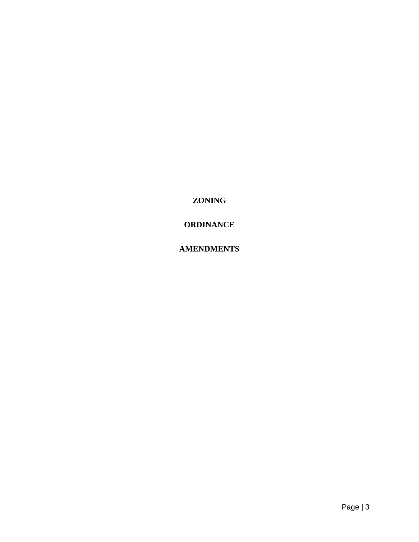**ZONING**

# **ORDINANCE**

# **AMENDMENTS**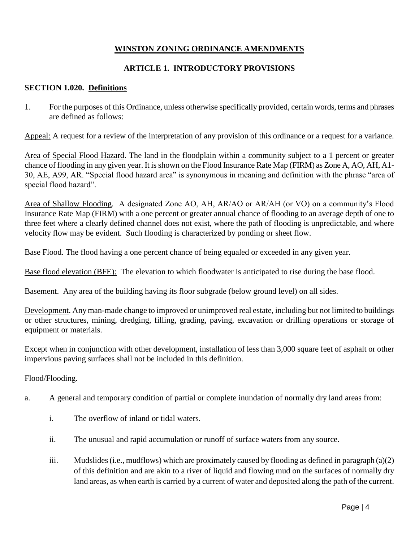# **WINSTON ZONING ORDINANCE AMENDMENTS**

# **ARTICLE 1. INTRODUCTORY PROVISIONS**

### **SECTION 1.020. Definitions**

1. For the purposes of this Ordinance, unless otherwise specifically provided, certain words, terms and phrases are defined as follows:

Appeal: A request for a review of the interpretation of any provision of this ordinance or a request for a variance.

Area of Special Flood Hazard. The land in the floodplain within a community subject to a 1 percent or greater chance of flooding in any given year. It is shown on the Flood Insurance Rate Map (FIRM) as Zone A, AO, AH, A1- 30, AE, A99, AR. "Special flood hazard area" is synonymous in meaning and definition with the phrase "area of special flood hazard".

Area of Shallow Flooding. A designated Zone AO, AH, AR/AO or AR/AH (or VO) on a community's Flood Insurance Rate Map (FIRM) with a one percent or greater annual chance of flooding to an average depth of one to three feet where a clearly defined channel does not exist, where the path of flooding is unpredictable, and where velocity flow may be evident. Such flooding is characterized by ponding or sheet flow.

Base Flood. The flood having a one percent chance of being equaled or exceeded in any given year.

Base flood elevation (BFE): The elevation to which floodwater is anticipated to rise during the base flood.

Basement. Any area of the building having its floor subgrade (below ground level) on all sides.

Development. Any man-made change to improved or unimproved real estate, including but not limited to buildings or other structures, mining, dredging, filling, grading, paving, excavation or drilling operations or storage of equipment or materials.

Except when in conjunction with other development, installation of less than 3,000 square feet of asphalt or other impervious paving surfaces shall not be included in this definition.

#### Flood/Flooding.

- a. A general and temporary condition of partial or complete inundation of normally dry land areas from:
	- i. The overflow of inland or tidal waters.
	- ii. The unusual and rapid accumulation or runoff of surface waters from any source.
	- iii. Mudslides (i.e., mudflows) which are proximately caused by flooding as defined in paragraph (a)(2) of this definition and are akin to a river of liquid and flowing mud on the surfaces of normally dry land areas, as when earth is carried by a current of water and deposited along the path of the current.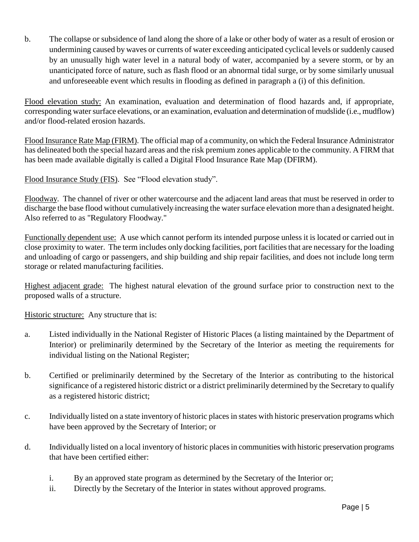b. The collapse or subsidence of land along the shore of a lake or other body of water as a result of erosion or undermining caused by waves or currents of water exceeding anticipated cyclical levels or suddenly caused by an unusually high water level in a natural body of water, accompanied by a severe storm, or by an unanticipated force of nature, such as flash flood or an abnormal tidal surge, or by some similarly unusual and unforeseeable event which results in flooding as defined in paragraph a (i) of this definition.

Flood elevation study: An examination, evaluation and determination of flood hazards and, if appropriate, corresponding water surface elevations, or an examination, evaluation and determination of mudslide (i.e., mudflow) and/or flood-related erosion hazards.

Flood Insurance Rate Map (FIRM). The official map of a community, on which the Federal Insurance Administrator has delineated both the special hazard areas and the risk premium zones applicable to the community. A FIRM that has been made available digitally is called a Digital Flood Insurance Rate Map (DFIRM).

Flood Insurance Study (FIS). See "Flood elevation study".

Floodway. The channel of river or other watercourse and the adjacent land areas that must be reserved in order to discharge the base flood without cumulatively increasing the water surface elevation more than a designated height. Also referred to as "Regulatory Floodway."

Functionally dependent use: A use which cannot perform its intended purpose unless it is located or carried out in close proximity to water. The term includes only docking facilities, port facilities that are necessary for the loading and unloading of cargo or passengers, and ship building and ship repair facilities, and does not include long term storage or related manufacturing facilities.

Highest adjacent grade: The highest natural elevation of the ground surface prior to construction next to the proposed walls of a structure.

Historic structure: Any structure that is:

- a. Listed individually in the National Register of Historic Places (a listing maintained by the Department of Interior) or preliminarily determined by the Secretary of the Interior as meeting the requirements for individual listing on the National Register;
- b. Certified or preliminarily determined by the Secretary of the Interior as contributing to the historical significance of a registered historic district or a district preliminarily determined by the Secretary to qualify as a registered historic district;
- c. Individually listed on a state inventory of historic places in states with historic preservation programs which have been approved by the Secretary of Interior; or
- d. Individually listed on a local inventory of historic places in communities with historic preservation programs that have been certified either:
	- i. By an approved state program as determined by the Secretary of the Interior or;
	- ii. Directly by the Secretary of the Interior in states without approved programs.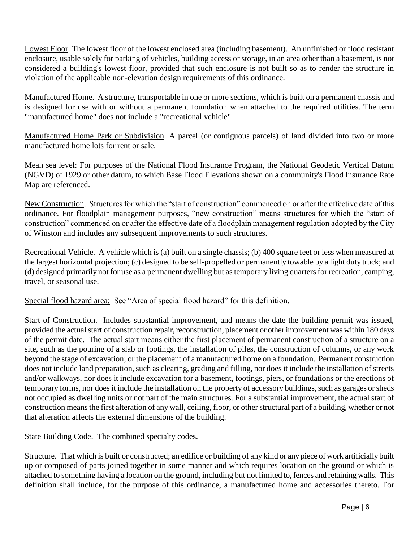Lowest Floor. The lowest floor of the lowest enclosed area (including basement). An unfinished or flood resistant enclosure, usable solely for parking of vehicles, building access or storage, in an area other than a basement, is not considered a building's lowest floor, provided that such enclosure is not built so as to render the structure in violation of the applicable non-elevation design requirements of this ordinance.

Manufactured Home. A structure, transportable in one or more sections, which is built on a permanent chassis and is designed for use with or without a permanent foundation when attached to the required utilities. The term "manufactured home" does not include a "recreational vehicle".

Manufactured Home Park or Subdivision. A parcel (or contiguous parcels) of land divided into two or more manufactured home lots for rent or sale.

Mean sea level: For purposes of the National Flood Insurance Program, the National Geodetic Vertical Datum (NGVD) of 1929 or other datum, to which Base Flood Elevations shown on a community's Flood Insurance Rate Map are referenced.

New Construction. Structures for which the "start of construction" commenced on or after the effective date of this ordinance. For floodplain management purposes, "new construction" means structures for which the "start of construction" commenced on or after the effective date of a floodplain management regulation adopted by the City of Winston and includes any subsequent improvements to such structures.

Recreational Vehicle. A vehicle which is (a) built on a single chassis; (b) 400 square feet or less when measured at the largest horizontal projection; (c) designed to be self-propelled or permanently towable by a light duty truck; and (d) designed primarily not for use as a permanent dwelling but as temporary living quarters for recreation, camping, travel, or seasonal use.

Special flood hazard area: See "Area of special flood hazard" for this definition.

Start of Construction. Includes substantial improvement, and means the date the building permit was issued, provided the actual start of construction repair, reconstruction, placement or other improvement was within 180 days of the permit date. The actual start means either the first placement of permanent construction of a structure on a site, such as the pouring of a slab or footings, the installation of piles, the construction of columns, or any work beyond the stage of excavation; or the placement of a manufactured home on a foundation. Permanent construction does not include land preparation, such as clearing, grading and filling, nor does it include the installation of streets and/or walkways, nor does it include excavation for a basement, footings, piers, or foundations or the erections of temporary forms, nor does it include the installation on the property of accessory buildings, such as garages or sheds not occupied as dwelling units or not part of the main structures. For a substantial improvement, the actual start of construction means the first alteration of any wall, ceiling, floor, or other structural part of a building, whether or not that alteration affects the external dimensions of the building.

State Building Code. The combined specialty codes.

Structure. That which is built or constructed; an edifice or building of any kind or any piece of work artificially built up or composed of parts joined together in some manner and which requires location on the ground or which is attached to something having a location on the ground, including but not limited to, fences and retaining walls. This definition shall include, for the purpose of this ordinance, a manufactured home and accessories thereto. For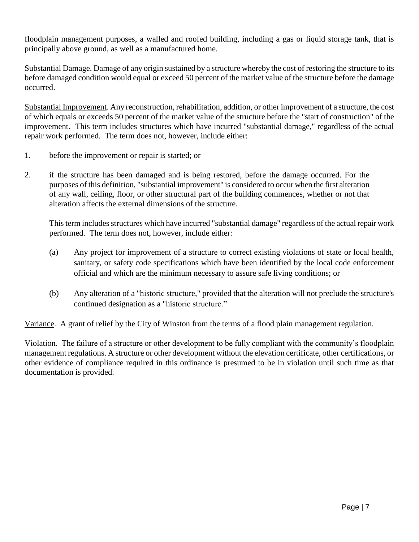floodplain management purposes, a walled and roofed building, including a gas or liquid storage tank, that is principally above ground, as well as a manufactured home.

Substantial Damage. Damage of any origin sustained by a structure whereby the cost of restoring the structure to its before damaged condition would equal or exceed 50 percent of the market value of the structure before the damage occurred.

Substantial Improvement. Any reconstruction, rehabilitation, addition, or other improvement of a structure, the cost of which equals or exceeds 50 percent of the market value of the structure before the "start of construction" of the improvement. This term includes structures which have incurred "substantial damage," regardless of the actual repair work performed. The term does not, however, include either:

- 1. before the improvement or repair is started; or
- 2. if the structure has been damaged and is being restored, before the damage occurred. For the purposes of this definition, "substantial improvement" is considered to occur when the first alteration of any wall, ceiling, floor, or other structural part of the building commences, whether or not that alteration affects the external dimensions of the structure.

This term includes structures which have incurred "substantial damage" regardless of the actual repair work performed. The term does not, however, include either:

- (a) Any project for improvement of a structure to correct existing violations of state or local health, sanitary, or safety code specifications which have been identified by the local code enforcement official and which are the minimum necessary to assure safe living conditions; or
- (b) Any alteration of a "historic structure," provided that the alteration will not preclude the structure's continued designation as a "historic structure."

Variance. A grant of relief by the City of Winston from the terms of a flood plain management regulation.

Violation. The failure of a structure or other development to be fully compliant with the community's floodplain management regulations. A structure or other development without the elevation certificate, other certifications, or other evidence of compliance required in this ordinance is presumed to be in violation until such time as that documentation is provided.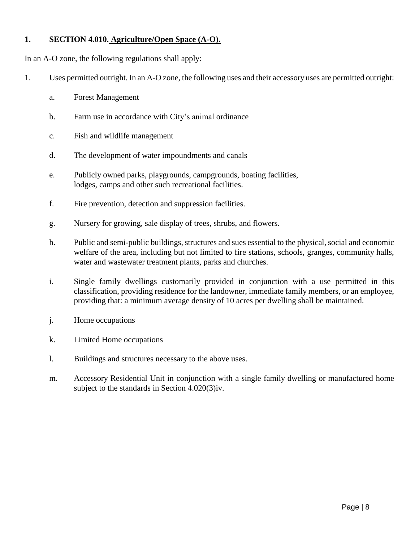# **1. SECTION 4.010. Agriculture/Open Space (A-O).**

In an A-O zone, the following regulations shall apply:

- 1. Uses permitted outright. In an A-O zone, the following uses and their accessory uses are permitted outright:
	- a. Forest Management
	- b. Farm use in accordance with City's animal ordinance
	- c. Fish and wildlife management
	- d. The development of water impoundments and canals
	- e. Publicly owned parks, playgrounds, campgrounds, boating facilities, lodges, camps and other such recreational facilities.
	- f. Fire prevention, detection and suppression facilities.
	- g. Nursery for growing, sale display of trees, shrubs, and flowers.
	- h. Public and semi-public buildings, structures and sues essential to the physical, social and economic welfare of the area, including but not limited to fire stations, schools, granges, community halls, water and wastewater treatment plants, parks and churches.
	- i. Single family dwellings customarily provided in conjunction with a use permitted in this classification, providing residence for the landowner, immediate family members, or an employee, providing that: a minimum average density of 10 acres per dwelling shall be maintained.
	- j. Home occupations
	- k. Limited Home occupations
	- l. Buildings and structures necessary to the above uses.
	- m. Accessory Residential Unit in conjunction with a single family dwelling or manufactured home subject to the standards in Section 4.020(3)iv.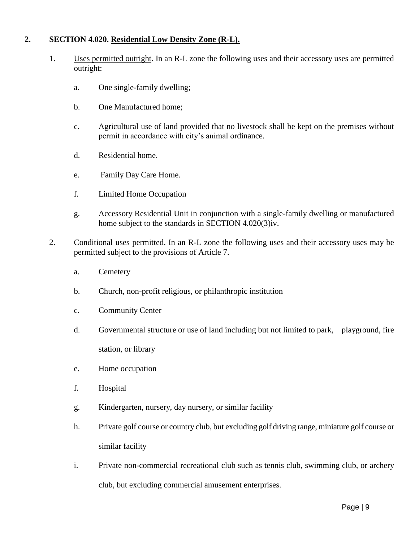# **2. SECTION 4.020. Residential Low Density Zone (R-L).**

- 1. Uses permitted outright. In an R-L zone the following uses and their accessory uses are permitted outright:
	- a. One single-family dwelling;
	- b. One Manufactured home;
	- c. Agricultural use of land provided that no livestock shall be kept on the premises without permit in accordance with city's animal ordinance.
	- d. Residential home.
	- e. Family Day Care Home.
	- f. Limited Home Occupation
	- g. Accessory Residential Unit in conjunction with a single-family dwelling or manufactured home subject to the standards in SECTION 4.020(3)iv.
- 2. Conditional uses permitted. In an R-L zone the following uses and their accessory uses may be permitted subject to the provisions of Article 7.
	- a. Cemetery
	- b. Church, non-profit religious, or philanthropic institution
	- c. Community Center
	- d. Governmental structure or use of land including but not limited to park, playground, fire station, or library
	- e. Home occupation
	- f. Hospital
	- g. Kindergarten, nursery, day nursery, or similar facility
	- h. Private golf course or country club, but excluding golf driving range, miniature golf course or similar facility
	- i. Private non-commercial recreational club such as tennis club, swimming club, or archery club, but excluding commercial amusement enterprises.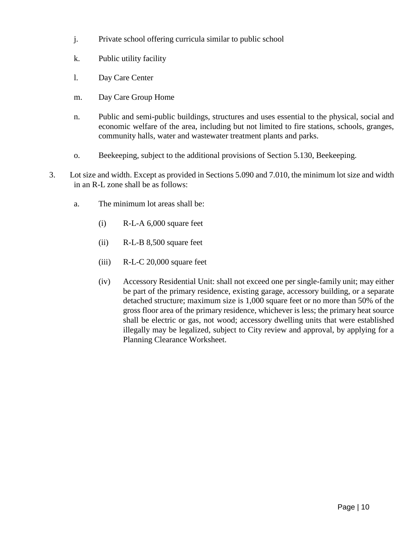- j. Private school offering curricula similar to public school
- k. Public utility facility
- l. Day Care Center
- m. Day Care Group Home
- n. Public and semi-public buildings, structures and uses essential to the physical, social and economic welfare of the area, including but not limited to fire stations, schools, granges, community halls, water and wastewater treatment plants and parks.
- o. Beekeeping, subject to the additional provisions of Section 5.130, Beekeeping.
- 3. Lot size and width. Except as provided in Sections 5.090 and 7.010, the minimum lot size and width in an R-L zone shall be as follows:
	- a. The minimum lot areas shall be:
		- (i) R-L-A 6,000 square feet
		- (ii) R-L-B 8,500 square feet
		- (iii) R-L-C 20,000 square feet
		- (iv) Accessory Residential Unit: shall not exceed one per single-family unit; may either be part of the primary residence, existing garage, accessory building, or a separate detached structure; maximum size is 1,000 square feet or no more than 50% of the gross floor area of the primary residence, whichever is less; the primary heat source shall be electric or gas, not wood; accessory dwelling units that were established illegally may be legalized, subject to City review and approval, by applying for a Planning Clearance Worksheet.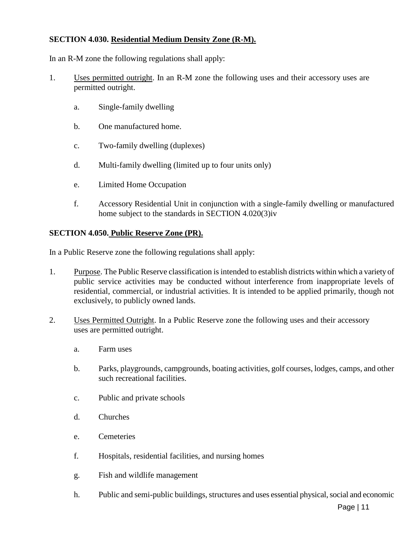# **SECTION 4.030. Residential Medium Density Zone (R-M).**

In an R-M zone the following regulations shall apply:

- 1. Uses permitted outright. In an R-M zone the following uses and their accessory uses are permitted outright.
	- a. Single-family dwelling
	- b. One manufactured home.
	- c. Two-family dwelling (duplexes)
	- d. Multi-family dwelling (limited up to four units only)
	- e. Limited Home Occupation
	- f. Accessory Residential Unit in conjunction with a single-family dwelling or manufactured home subject to the standards in SECTION 4.020(3)iv

### **SECTION 4.050. Public Reserve Zone (PR).**

In a Public Reserve zone the following regulations shall apply:

- 1. Purpose. The Public Reserve classification is intended to establish districts within which a variety of public service activities may be conducted without interference from inappropriate levels of residential, commercial, or industrial activities. It is intended to be applied primarily, though not exclusively, to publicly owned lands.
- 2. Uses Permitted Outright. In a Public Reserve zone the following uses and their accessory uses are permitted outright.
	- a. Farm uses
	- b. Parks, playgrounds, campgrounds, boating activities, golf courses, lodges, camps, and other such recreational facilities.
	- c. Public and private schools
	- d. Churches
	- e. Cemeteries
	- f. Hospitals, residential facilities, and nursing homes
	- g. Fish and wildlife management
	- h. Public and semi-public buildings, structures and uses essential physical, social and economic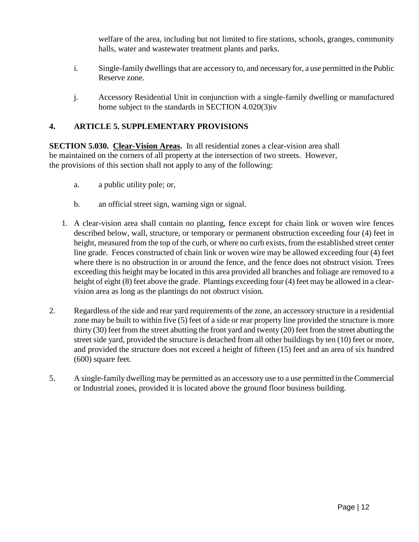welfare of the area, including but not limited to fire stations, schools, granges, community halls, water and wastewater treatment plants and parks.

- i. Single-family dwellings that are accessory to, and necessary for, a use permitted in the Public Reserve zone.
- j. Accessory Residential Unit in conjunction with a single-family dwelling or manufactured home subject to the standards in SECTION 4.020(3)iv

# **4. ARTICLE 5. SUPPLEMENTARY PROVISIONS**

**SECTION 5.030. Clear-Vision Areas.** In all residential zones a clear-vision area shall be maintained on the corners of all property at the intersection of two streets. However, the provisions of this section shall not apply to any of the following:

- a. a public utility pole; or,
- b. an official street sign, warning sign or signal.
- 1. A clear-vision area shall contain no planting, fence except for chain link or woven wire fences described below, wall, structure, or temporary or permanent obstruction exceeding four (4) feet in height, measured from the top of the curb, or where no curb exists, from the established street center line grade. Fences constructed of chain link or woven wire may be allowed exceeding four (4) feet where there is no obstruction in or around the fence, and the fence does not obstruct vision. Trees exceeding this height may be located in this area provided all branches and foliage are removed to a height of eight (8) feet above the grade. Plantings exceeding four (4) feet may be allowed in a clearvision area as long as the plantings do not obstruct vision.
- 2. Regardless of the side and rear yard requirements of the zone, an accessory structure in a residential zone may be built to within five (5) feet of a side or rear property line provided the structure is more thirty (30) feet from the street abutting the front yard and twenty (20) feet from the street abutting the street side yard, provided the structure is detached from all other buildings by ten (10) feet or more, and provided the structure does not exceed a height of fifteen (15) feet and an area of six hundred (600) square feet.
- 5. A single-family dwelling may be permitted as an accessory use to a use permitted in the Commercial or Industrial zones, provided it is located above the ground floor business building.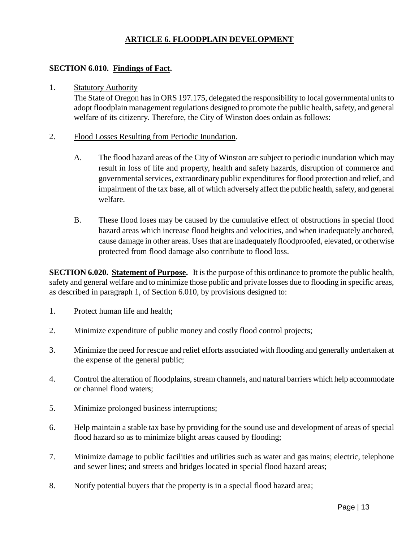# **ARTICLE 6. FLOODPLAIN DEVELOPMENT**

### **SECTION 6.010. Findings of Fact.**

#### 1. Statutory Authority

The State of Oregon has in ORS 197.175, delegated the responsibility to local governmental units to adopt floodplain management regulations designed to promote the public health, safety, and general welfare of its citizenry. Therefore, the City of Winston does ordain as follows:

- 2. Flood Losses Resulting from Periodic Inundation.
	- A. The flood hazard areas of the City of Winston are subject to periodic inundation which may result in loss of life and property, health and safety hazards, disruption of commerce and governmental services, extraordinary public expenditures for flood protection and relief, and impairment of the tax base, all of which adversely affect the public health, safety, and general welfare.
	- B. These flood loses may be caused by the cumulative effect of obstructions in special flood hazard areas which increase flood heights and velocities, and when inadequately anchored, cause damage in other areas. Uses that are inadequately floodproofed, elevated, or otherwise protected from flood damage also contribute to flood loss.

**SECTION 6.020. Statement of Purpose.** It is the purpose of this ordinance to promote the public health, safety and general welfare and to minimize those public and private losses due to flooding in specific areas, as described in paragraph 1, of Section 6.010, by provisions designed to:

- 1. Protect human life and health;
- 2. Minimize expenditure of public money and costly flood control projects;
- 3. Minimize the need for rescue and relief efforts associated with flooding and generally undertaken at the expense of the general public;
- 4. Control the alteration of floodplains, stream channels, and natural barriers which help accommodate or channel flood waters;
- 5. Minimize prolonged business interruptions;
- 6. Help maintain a stable tax base by providing for the sound use and development of areas of special flood hazard so as to minimize blight areas caused by flooding;
- 7. Minimize damage to public facilities and utilities such as water and gas mains; electric, telephone and sewer lines; and streets and bridges located in special flood hazard areas;
- 8. Notify potential buyers that the property is in a special flood hazard area;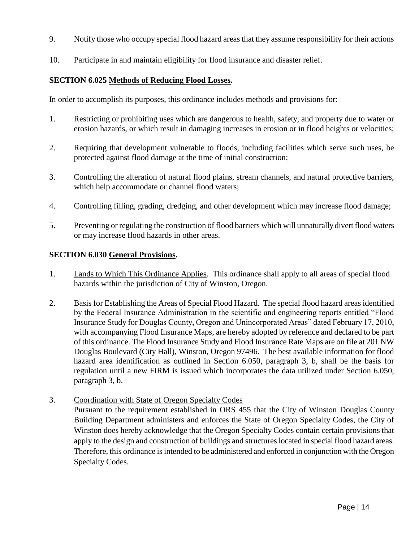- 9. Notify those who occupy special flood hazard areas that they assume responsibility for their actions
- 10. Participate in and maintain eligibility for flood insurance and disaster relief.

#### **SECTION 6.025 Methods of Reducing Flood Losses.**

In order to accomplish its purposes, this ordinance includes methods and provisions for:

- 1. Restricting or prohibiting uses which are dangerous to health, safety, and property due to water or erosion hazards, or which result in damaging increases in erosion or in flood heights or velocities;
- 2. Requiring that development vulnerable to floods, including facilities which serve such uses, be protected against flood damage at the time of initial construction;
- 3. Controlling the alteration of natural flood plains, stream channels, and natural protective barriers, which help accommodate or channel flood waters;
- 4. Controlling filling, grading, dredging, and other development which may increase flood damage;
- 5. Preventing or regulating the construction of flood barriers which will unnaturally divert flood waters or may increase flood hazards in other areas.

#### **SECTION 6.030 General Provisions.**

- 1. Lands to Which This Ordinance Applies. This ordinance shall apply to all areas of special flood hazards within the jurisdiction of City of Winston, Oregon.
- 2. Basis for Establishing the Areas of Special Flood Hazard. The special flood hazard areas identified by the Federal Insurance Administration in the scientific and engineering reports entitled "Flood Insurance Study for Douglas County, Oregon and Unincorporated Areas" dated February 17, 2010, with accompanying Flood Insurance Maps, are hereby adopted by reference and declared to be part of this ordinance. The Flood Insurance Study and Flood Insurance Rate Maps are on file at 201 NW Douglas Boulevard (City Hall), Winston, Oregon 97496. The best available information for flood hazard area identification as outlined in Section 6.050, paragraph 3, b, shall be the basis for regulation until a new FIRM is issued which incorporates the data utilized under Section 6.050, paragraph 3, b.
- 3. Coordination with State of Oregon Specialty Codes

Pursuant to the requirement established in ORS 455 that the City of Winston Douglas County Building Department administers and enforces the State of Oregon Specialty Codes, the City of Winston does hereby acknowledge that the Oregon Specialty Codes contain certain provisions that apply to the design and construction of buildings and structures located in special flood hazard areas. Therefore, this ordinance is intended to be administered and enforced in conjunction with the Oregon Specialty Codes.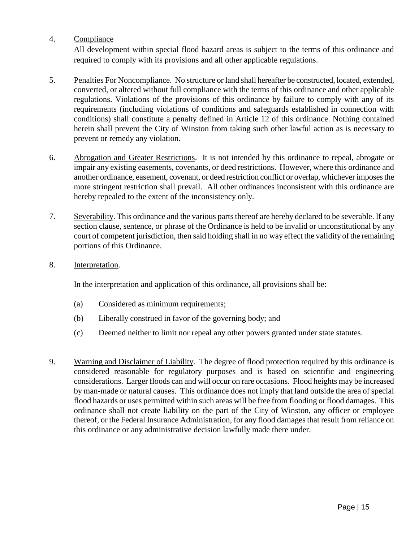# 4. Compliance

All development within special flood hazard areas is subject to the terms of this ordinance and required to comply with its provisions and all other applicable regulations.

- 5. Penalties For Noncompliance. No structure or land shall hereafter be constructed, located, extended, converted, or altered without full compliance with the terms of this ordinance and other applicable regulations. Violations of the provisions of this ordinance by failure to comply with any of its requirements (including violations of conditions and safeguards established in connection with conditions) shall constitute a penalty defined in Article 12 of this ordinance. Nothing contained herein shall prevent the City of Winston from taking such other lawful action as is necessary to prevent or remedy any violation.
- 6. Abrogation and Greater Restrictions. It is not intended by this ordinance to repeal, abrogate or impair any existing easements, covenants, or deed restrictions. However, where this ordinance and another ordinance, easement, covenant, or deed restriction conflict or overlap, whichever imposes the more stringent restriction shall prevail. All other ordinances inconsistent with this ordinance are hereby repealed to the extent of the inconsistency only.
- 7. Severability. This ordinance and the various parts thereof are hereby declared to be severable. If any section clause, sentence, or phrase of the Ordinance is held to be invalid or unconstitutional by any court of competent jurisdiction, then said holding shall in no way effect the validity of the remaining portions of this Ordinance.
- 8. Interpretation.

In the interpretation and application of this ordinance, all provisions shall be:

- (a) Considered as minimum requirements;
- (b) Liberally construed in favor of the governing body; and
- (c) Deemed neither to limit nor repeal any other powers granted under state statutes.
- 9. Warning and Disclaimer of Liability. The degree of flood protection required by this ordinance is considered reasonable for regulatory purposes and is based on scientific and engineering considerations. Larger floods can and will occur on rare occasions. Flood heights may be increased by man-made or natural causes. This ordinance does not imply that land outside the area of special flood hazards or uses permitted within such areas will be free from flooding or flood damages. This ordinance shall not create liability on the part of the City of Winston, any officer or employee thereof, or the Federal Insurance Administration, for any flood damages that result from reliance on this ordinance or any administrative decision lawfully made there under.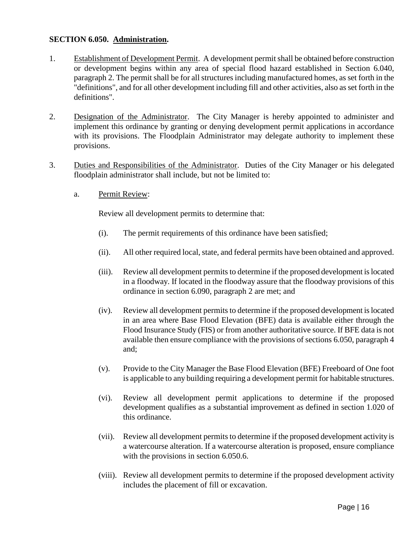### **SECTION 6.050. Administration.**

- 1. Establishment of Development Permit. A development permit shall be obtained before construction or development begins within any area of special flood hazard established in Section 6.040, paragraph 2. The permit shall be for all structures including manufactured homes, as set forth in the "definitions", and for all other development including fill and other activities, also as set forth in the definitions".
- 2. Designation of the Administrator. The City Manager is hereby appointed to administer and implement this ordinance by granting or denying development permit applications in accordance with its provisions. The Floodplain Administrator may delegate authority to implement these provisions.
- 3. Duties and Responsibilities of the Administrator. Duties of the City Manager or his delegated floodplain administrator shall include, but not be limited to:
	- a. Permit Review:

Review all development permits to determine that:

- (i). The permit requirements of this ordinance have been satisfied;
- (ii). All other required local, state, and federal permits have been obtained and approved.
- (iii). Review all development permits to determine if the proposed development is located in a floodway. If located in the floodway assure that the floodway provisions of this ordinance in section 6.090, paragraph 2 are met; and
- (iv). Review all development permits to determine if the proposed development is located in an area where Base Flood Elevation (BFE) data is available either through the Flood Insurance Study (FIS) or from another authoritative source. If BFE data is not available then ensure compliance with the provisions of sections 6.050, paragraph 4 and;
- (v). Provide to the City Manager the Base Flood Elevation (BFE) Freeboard of One foot is applicable to any building requiring a development permit for habitable structures.
- (vi). Review all development permit applications to determine if the proposed development qualifies as a substantial improvement as defined in section 1.020 of this ordinance.
- (vii). Review all development permits to determine if the proposed development activity is a watercourse alteration. If a watercourse alteration is proposed, ensure compliance with the provisions in section 6.050.6.
- (viii). Review all development permits to determine if the proposed development activity includes the placement of fill or excavation.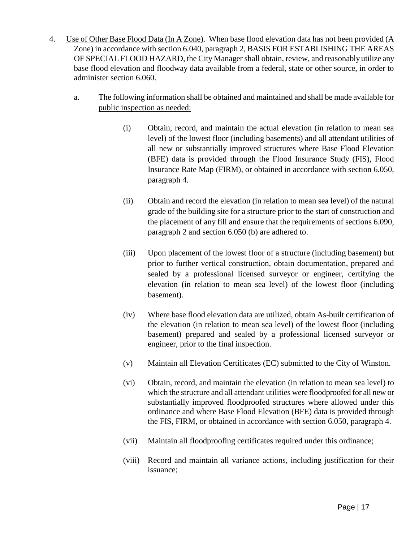- 4. Use of Other Base Flood Data (In A Zone). When base flood elevation data has not been provided (A Zone) in accordance with section 6.040, paragraph 2, BASIS FOR ESTABLISHING THE AREAS OF SPECIAL FLOOD HAZARD, the City Manager shall obtain, review, and reasonably utilize any base flood elevation and floodway data available from a federal, state or other source, in order to administer section 6.060.
	- a. The following information shall be obtained and maintained and shall be made available for public inspection as needed:
		- (i) Obtain, record, and maintain the actual elevation (in relation to mean sea level) of the lowest floor (including basements) and all attendant utilities of all new or substantially improved structures where Base Flood Elevation (BFE) data is provided through the Flood Insurance Study (FIS), Flood Insurance Rate Map (FIRM), or obtained in accordance with section 6.050, paragraph 4.
		- (ii) Obtain and record the elevation (in relation to mean sea level) of the natural grade of the building site for a structure prior to the start of construction and the placement of any fill and ensure that the requirements of sections 6.090, paragraph 2 and section 6.050 (b) are adhered to.
		- (iii) Upon placement of the lowest floor of a structure (including basement) but prior to further vertical construction, obtain documentation, prepared and sealed by a professional licensed surveyor or engineer, certifying the elevation (in relation to mean sea level) of the lowest floor (including basement).
		- (iv) Where base flood elevation data are utilized, obtain As-built certification of the elevation (in relation to mean sea level) of the lowest floor (including basement) prepared and sealed by a professional licensed surveyor or engineer, prior to the final inspection.
		- (v) Maintain all Elevation Certificates (EC) submitted to the City of Winston.
		- (vi) Obtain, record, and maintain the elevation (in relation to mean sea level) to which the structure and all attendant utilities were floodproofed for all new or substantially improved floodproofed structures where allowed under this ordinance and where Base Flood Elevation (BFE) data is provided through the FIS, FIRM, or obtained in accordance with section 6.050, paragraph 4.
		- (vii) Maintain all floodproofing certificates required under this ordinance;
		- (viii) Record and maintain all variance actions, including justification for their issuance;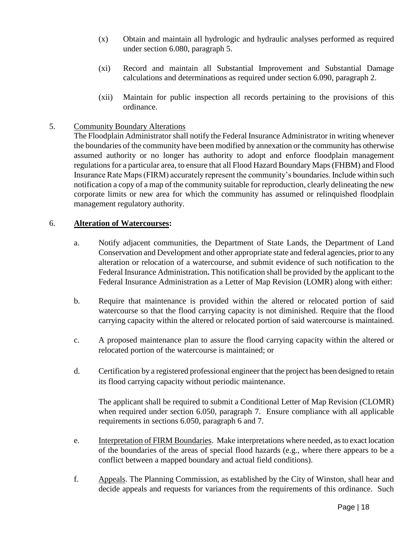- (x) Obtain and maintain all hydrologic and hydraulic analyses performed as required under section 6.080, paragraph 5.
- (xi) Record and maintain all Substantial Improvement and Substantial Damage calculations and determinations as required under section 6.090, paragraph 2.
- (xii) Maintain for public inspection all records pertaining to the provisions of this ordinance.

### 5. Community Boundary Alterations

The Floodplain Administrator shall notify the Federal Insurance Administrator in writing whenever the boundaries of the community have been modified by annexation or the community has otherwise assumed authority or no longer has authority to adopt and enforce floodplain management regulations for a particular area, to ensure that all Flood Hazard Boundary Maps (FHBM) and Flood Insurance Rate Maps (FIRM) accurately represent the community's boundaries. Include within such notification a copy of a map of the community suitable for reproduction, clearly delineating the new corporate limits or new area for which the community has assumed or relinquished floodplain management regulatory authority.

#### 6. **Alteration of Watercourses:**

- a. Notify adjacent communities, the Department of State Lands, the Department of Land Conservation and Development and other appropriate state and federal agencies, prior to any alteration or relocation of a watercourse, and submit evidence of such notification to the Federal Insurance Administration**.** This notification shall be provided by the applicant to the Federal Insurance Administration as a Letter of Map Revision (LOMR) along with either:
- b. Require that maintenance is provided within the altered or relocated portion of said watercourse so that the flood carrying capacity is not diminished. Require that the flood carrying capacity within the altered or relocated portion of said watercourse is maintained.
- c. A proposed maintenance plan to assure the flood carrying capacity within the altered or relocated portion of the watercourse is maintained; or
- d. Certification by a registered professional engineer that the project has been designed to retain its flood carrying capacity without periodic maintenance.

The applicant shall be required to submit a Conditional Letter of Map Revision (CLOMR) when required under section 6.050, paragraph 7. Ensure compliance with all applicable requirements in sections 6.050, paragraph 6 and 7.

- e. Interpretation of FIRM Boundaries. Make interpretations where needed, as to exact location of the boundaries of the areas of special flood hazards (e.g., where there appears to be a conflict between a mapped boundary and actual field conditions).
- f. Appeals. The Planning Commission, as established by the City of Winston, shall hear and decide appeals and requests for variances from the requirements of this ordinance. Such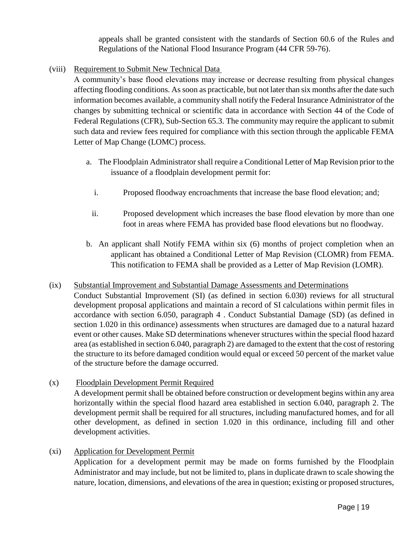appeals shall be granted consistent with the standards of Section 60.6 of the Rules and Regulations of the National Flood Insurance Program (44 CFR 59-76).

(viii) Requirement to Submit New Technical Data

A community's base flood elevations may increase or decrease resulting from physical changes affecting flooding conditions. As soon as practicable, but not later than six months after the date such information becomes available, a community shall notify the Federal Insurance Administrator of the changes by submitting technical or scientific data in accordance with Section 44 of the Code of Federal Regulations (CFR), Sub-Section 65.3. The community may require the applicant to submit such data and review fees required for compliance with this section through the applicable FEMA Letter of Map Change (LOMC) process.

- a. The Floodplain Administrator shall require a Conditional Letter of Map Revision prior to the issuance of a floodplain development permit for:
	- i. Proposed floodway encroachments that increase the base flood elevation; and;
	- ii. Proposed development which increases the base flood elevation by more than one foot in areas where FEMA has provided base flood elevations but no floodway.
- b. An applicant shall Notify FEMA within six (6) months of project completion when an applicant has obtained a Conditional Letter of Map Revision (CLOMR) from FEMA. This notification to FEMA shall be provided as a Letter of Map Revision (LOMR).

# (ix) Substantial Improvement and Substantial Damage Assessments and Determinations

- Conduct Substantial Improvement (SI) (as defined in section 6.030) reviews for all structural development proposal applications and maintain a record of SI calculations within permit files in accordance with section 6.050, paragraph 4 . Conduct Substantial Damage (SD) (as defined in section 1.020 in this ordinance) assessments when structures are damaged due to a natural hazard event or other causes. Make SD determinations whenever structures within the special flood hazard area (as established in section 6.040, paragraph 2) are damaged to the extent that the cost of restoring the structure to its before damaged condition would equal or exceed 50 percent of the market value of the structure before the damage occurred.
- (x) Floodplain Development Permit Required A development permit shall be obtained before construction or development begins within any area horizontally within the special flood hazard area established in section 6.040, paragraph 2. The development permit shall be required for all structures, including manufactured homes, and for all other development, as defined in section 1.020 in this ordinance, including fill and other development activities.
- (xi) Application for Development Permit

Application for a development permit may be made on forms furnished by the Floodplain Administrator and may include, but not be limited to, plans in duplicate drawn to scale showing the nature, location, dimensions, and elevations of the area in question; existing or proposed structures,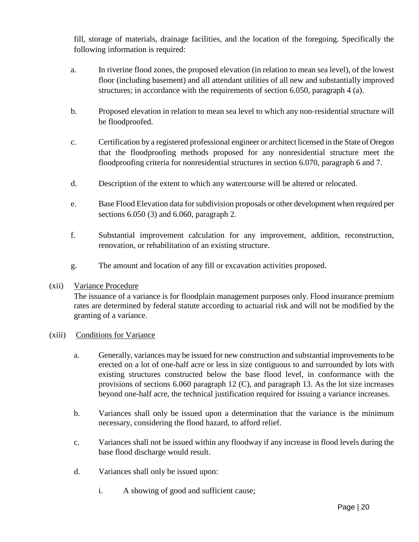fill, storage of materials, drainage facilities, and the location of the foregoing. Specifically the following information is required:

- a. In riverine flood zones, the proposed elevation (in relation to mean sea level), of the lowest floor (including basement) and all attendant utilities of all new and substantially improved structures; in accordance with the requirements of section 6.050, paragraph 4 (a).
- b. Proposed elevation in relation to mean sea level to which any non-residential structure will be floodproofed.
- c. Certification by a registered professional engineer or architect licensed in the State of Oregon that the floodproofing methods proposed for any nonresidential structure meet the floodproofing criteria for nonresidential structures in section 6.070, paragraph 6 and 7.
- d. Description of the extent to which any watercourse will be altered or relocated.
- e. Base Flood Elevation data for subdivision proposals or other development when required per sections 6.050 (3) and 6.060, paragraph 2.
- f. Substantial improvement calculation for any improvement, addition, reconstruction, renovation, or rehabilitation of an existing structure.
- g. The amount and location of any fill or excavation activities proposed.

# (xii) Variance Procedure

The issuance of a variance is for floodplain management purposes only. Flood insurance premium rates are determined by federal statute according to actuarial risk and will not be modified by the granting of a variance.

# (xiii) Conditions for Variance

- a. Generally, variances may be issued for new construction and substantial improvements to be erected on a lot of one-half acre or less in size contiguous to and surrounded by lots with existing structures constructed below the base flood level, in conformance with the provisions of sections 6.060 paragraph 12 (C), and paragraph 13. As the lot size increases beyond one-half acre, the technical justification required for issuing a variance increases.
- b. Variances shall only be issued upon a determination that the variance is the minimum necessary, considering the flood hazard, to afford relief.
- c. Variances shall not be issued within any floodway if any increase in flood levels during the base flood discharge would result.
- d. Variances shall only be issued upon:
	- i. A showing of good and sufficient cause;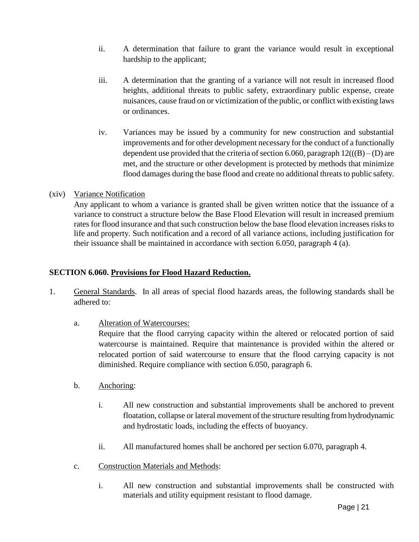- ii. A determination that failure to grant the variance would result in exceptional hardship to the applicant;
- iii. A determination that the granting of a variance will not result in increased flood heights, additional threats to public safety, extraordinary public expense, create nuisances, cause fraud on or victimization of the public, or conflict with existing laws or ordinances.
- iv. Variances may be issued by a community for new construction and substantial improvements and for other development necessary for the conduct of a functionally dependent use provided that the criteria of section 6.060, paragraph  $12(((B) - (D)$  are met, and the structure or other development is protected by methods that minimize flood damages during the base flood and create no additional threats to public safety.

# (xiv) Variance Notification

Any applicant to whom a variance is granted shall be given written notice that the issuance of a variance to construct a structure below the Base Flood Elevation will result in increased premium rates for flood insurance and that such construction below the base flood elevation increases risks to life and property. Such notification and a record of all variance actions, including justification for their issuance shall be maintained in accordance with section 6.050, paragraph 4 (a).

### **SECTION 6.060. Provisions for Flood Hazard Reduction.**

- 1. General Standards. In all areas of special flood hazards areas, the following standards shall be adhered to:
	- a. Alteration of Watercourses:

Require that the flood carrying capacity within the altered or relocated portion of said watercourse is maintained. Require that maintenance is provided within the altered or relocated portion of said watercourse to ensure that the flood carrying capacity is not diminished. Require compliance with section 6.050, paragraph 6.

- b. Anchoring:
	- i. All new construction and substantial improvements shall be anchored to prevent floatation, collapse or lateral movement of the structure resulting from hydrodynamic and hydrostatic loads, including the effects of buoyancy.
	- ii. All manufactured homes shall be anchored per section 6.070, paragraph 4.
- c. Construction Materials and Methods:
	- i. All new construction and substantial improvements shall be constructed with materials and utility equipment resistant to flood damage.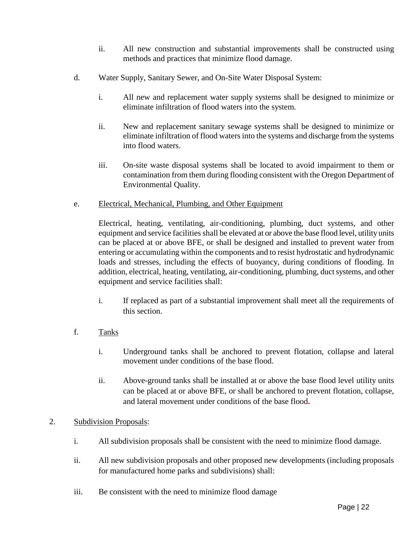- ii. All new construction and substantial improvements shall be constructed using methods and practices that minimize flood damage.
- d. Water Supply, Sanitary Sewer, and On-Site Water Disposal System:
	- i. All new and replacement water supply systems shall be designed to minimize or eliminate infiltration of flood waters into the system.
	- ii. New and replacement sanitary sewage systems shall be designed to minimize or eliminate infiltration of flood waters into the systems and discharge from the systems into flood waters.
	- iii. On-site waste disposal systems shall be located to avoid impairment to them or contamination from them during flooding consistent with the Oregon Department of Environmental Quality.
- e. Electrical, Mechanical, Plumbing, and Other Equipment

Electrical, heating, ventilating, air-conditioning, plumbing, duct systems, and other equipment and service facilities shall be elevated at or above the base flood level, utility units can be placed at or above BFE, or shall be designed and installed to prevent water from entering or accumulating within the components and to resist hydrostatic and hydrodynamic loads and stresses, including the effects of buoyancy, during conditions of flooding. In addition, electrical, heating, ventilating, air-conditioning, plumbing, duct systems, and other equipment and service facilities shall:

- i. If replaced as part of a substantial improvement shall meet all the requirements of this section.
- f. Tanks
	- i. Underground tanks shall be anchored to prevent flotation, collapse and lateral movement under conditions of the base flood.
	- ii. Above-ground tanks shall be installed at or above the base flood level utility units can be placed at or above BFE, or shall be anchored to prevent flotation, collapse, and lateral movement under conditions of the base flood**.**

# 2. Subdivision Proposals:

- i. All subdivision proposals shall be consistent with the need to minimize flood damage.
- ii. All new subdivision proposals and other proposed new developments (including proposals for manufactured home parks and subdivisions) shall:
- iii. Be consistent with the need to minimize flood damage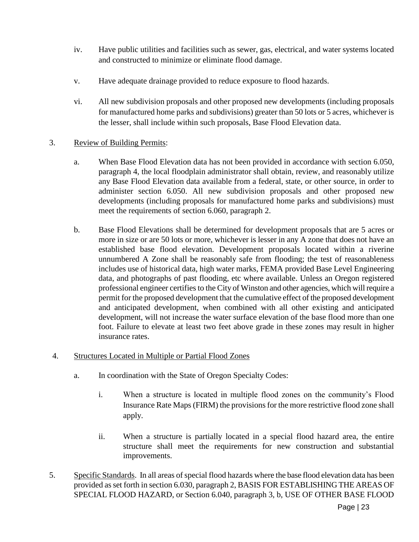- iv. Have public utilities and facilities such as sewer, gas, electrical, and water systems located and constructed to minimize or eliminate flood damage.
- v. Have adequate drainage provided to reduce exposure to flood hazards.
- vi. All new subdivision proposals and other proposed new developments (including proposals for manufactured home parks and subdivisions) greater than 50 lots or 5 acres, whichever is the lesser, shall include within such proposals, Base Flood Elevation data.

### 3. Review of Building Permits:

- a. When Base Flood Elevation data has not been provided in accordance with section 6.050, paragraph 4, the local floodplain administrator shall obtain, review, and reasonably utilize any Base Flood Elevation data available from a federal, state, or other source, in order to administer section 6.050. All new subdivision proposals and other proposed new developments (including proposals for manufactured home parks and subdivisions) must meet the requirements of section 6.060, paragraph 2.
- b. Base Flood Elevations shall be determined for development proposals that are 5 acres or more in size or are 50 lots or more, whichever is lesser in any A zone that does not have an established base flood elevation. Development proposals located within a riverine unnumbered A Zone shall be reasonably safe from flooding; the test of reasonableness includes use of historical data, high water marks, FEMA provided Base Level Engineering data, and photographs of past flooding, etc where available. Unless an Oregon registered professional engineer certifies to the City of Winston and other agencies, which will require a permit for the proposed development that the cumulative effect of the proposed development and anticipated development, when combined with all other existing and anticipated development, will not increase the water surface elevation of the base flood more than one foot. Failure to elevate at least two feet above grade in these zones may result in higher insurance rates.

#### 4. Structures Located in Multiple or Partial Flood Zones

- a. In coordination with the State of Oregon Specialty Codes:
	- i. When a structure is located in multiple flood zones on the community's Flood Insurance Rate Maps (FIRM) the provisions for the more restrictive flood zone shall apply.
	- ii. When a structure is partially located in a special flood hazard area, the entire structure shall meet the requirements for new construction and substantial improvements.
- 5. Specific Standards. In all areas of special flood hazards where the base flood elevation data has been provided as set forth in section 6.030, paragraph 2, BASIS FOR ESTABLISHING THE AREAS OF SPECIAL FLOOD HAZARD, or Section 6.040, paragraph 3, b, USE OF OTHER BASE FLOOD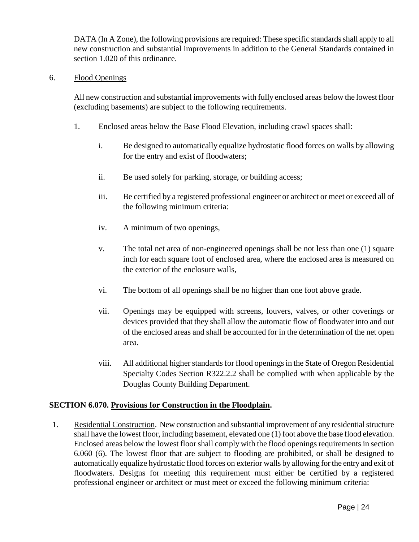DATA (In A Zone), the following provisions are required: These specific standards shall apply to all new construction and substantial improvements in addition to the General Standards contained in section 1.020 of this ordinance.

#### 6. Flood Openings

All new construction and substantial improvements with fully enclosed areas below the lowest floor (excluding basements) are subject to the following requirements.

- 1. Enclosed areas below the Base Flood Elevation, including crawl spaces shall:
	- i. Be designed to automatically equalize hydrostatic flood forces on walls by allowing for the entry and exist of floodwaters;
	- ii. Be used solely for parking, storage, or building access;
	- iii. Be certified by a registered professional engineer or architect or meet or exceed all of the following minimum criteria:
	- iv. A minimum of two openings,
	- v. The total net area of non-engineered openings shall be not less than one (1) square inch for each square foot of enclosed area, where the enclosed area is measured on the exterior of the enclosure walls,
	- vi. The bottom of all openings shall be no higher than one foot above grade.
	- vii. Openings may be equipped with screens, louvers, valves, or other coverings or devices provided that they shall allow the automatic flow of floodwater into and out of the enclosed areas and shall be accounted for in the determination of the net open area.
	- viii. All additional higher standards for flood openings in the State of Oregon Residential Specialty Codes Section R322.2.2 shall be complied with when applicable by the Douglas County Building Department.

# **SECTION 6.070. Provisions for Construction in the Floodplain.**

1. Residential Construction. New construction and substantial improvement of any residential structure shall have the lowest floor, including basement, elevated one (1) foot above the base flood elevation. Enclosed areas below the lowest floor shall comply with the flood openings requirements in section 6.060 (6). The lowest floor that are subject to flooding are prohibited, or shall be designed to automatically equalize hydrostatic flood forces on exterior walls by allowing for the entry and exit of floodwaters. Designs for meeting this requirement must either be certified by a registered professional engineer or architect or must meet or exceed the following minimum criteria: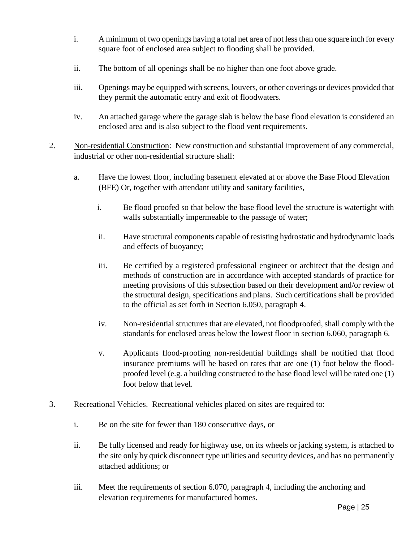- i. A minimum of two openings having a total net area of not less than one square inch for every square foot of enclosed area subject to flooding shall be provided.
- ii. The bottom of all openings shall be no higher than one foot above grade.
- iii. Openings may be equipped with screens, louvers, or other coverings or devices provided that they permit the automatic entry and exit of floodwaters.
- iv. An attached garage where the garage slab is below the base flood elevation is considered an enclosed area and is also subject to the flood vent requirements.
- 2. Non-residential Construction: New construction and substantial improvement of any commercial, industrial or other non-residential structure shall:
	- a. Have the lowest floor, including basement elevated at or above the Base Flood Elevation (BFE) Or, together with attendant utility and sanitary facilities,
		- i. Be flood proofed so that below the base flood level the structure is watertight with walls substantially impermeable to the passage of water;
		- ii. Have structural components capable of resisting hydrostatic and hydrodynamic loads and effects of buoyancy;
		- iii. Be certified by a registered professional engineer or architect that the design and methods of construction are in accordance with accepted standards of practice for meeting provisions of this subsection based on their development and/or review of the structural design, specifications and plans. Such certifications shall be provided to the official as set forth in Section 6.050, paragraph 4.
		- iv. Non-residential structures that are elevated, not floodproofed, shall comply with the standards for enclosed areas below the lowest floor in section 6.060, paragraph 6.
		- v. Applicants flood-proofing non-residential buildings shall be notified that flood insurance premiums will be based on rates that are one (1) foot below the floodproofed level (e.g. a building constructed to the base flood level will be rated one (1) foot below that level.
- 3. Recreational Vehicles. Recreational vehicles placed on sites are required to:
	- i. Be on the site for fewer than 180 consecutive days, or
	- ii. Be fully licensed and ready for highway use, on its wheels or jacking system, is attached to the site only by quick disconnect type utilities and security devices, and has no permanently attached additions; or
	- iii. Meet the requirements of section 6.070, paragraph 4, including the anchoring and elevation requirements for manufactured homes.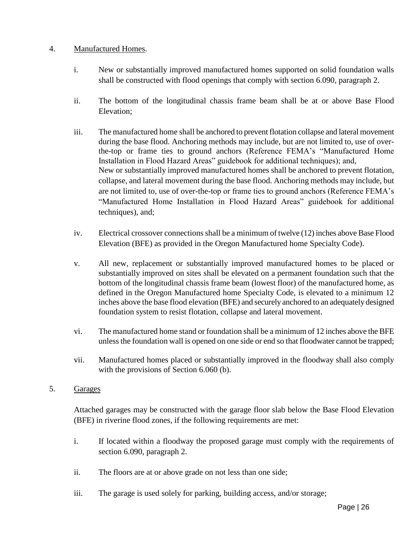### 4. Manufactured Homes.

- i. New or substantially improved manufactured homes supported on solid foundation walls shall be constructed with flood openings that comply with section 6.090, paragraph 2.
- ii. The bottom of the longitudinal chassis frame beam shall be at or above Base Flood Elevation;
- iii. The manufactured home shall be anchored to prevent flotation collapse and lateral movement during the base flood. Anchoring methods may include, but are not limited to, use of overthe-top or frame ties to ground anchors (Reference FEMA's "Manufactured Home Installation in Flood Hazard Areas" guidebook for additional techniques); and, New or substantially improved manufactured homes shall be anchored to prevent flotation, collapse, and lateral movement during the base flood. Anchoring methods may include, but are not limited to, use of over-the-top or frame ties to ground anchors (Reference FEMA's "Manufactured Home Installation in Flood Hazard Areas" guidebook for additional techniques), and;
- iv. Electrical crossover connections shall be a minimum of twelve (12) inches above Base Flood Elevation (BFE) as provided in the Oregon Manufactured home Specialty Code).
- v. All new, replacement or substantially improved manufactured homes to be placed or substantially improved on sites shall be elevated on a permanent foundation such that the bottom of the longitudinal chassis frame beam (lowest floor) of the manufactured home, as defined in the Oregon Manufactured home Specialty Code, is elevated to a minimum 12 inches above the base flood elevation (BFE) and securely anchored to an adequately designed foundation system to resist flotation, collapse and lateral movement.
- vi. The manufactured home stand or foundation shall be a minimum of 12 inches above the BFE unless the foundation wall is opened on one side or end so that floodwater cannot be trapped;
- vii. Manufactured homes placed or substantially improved in the floodway shall also comply with the provisions of Section 6.060 (b).

#### 5. Garages

Attached garages may be constructed with the garage floor slab below the Base Flood Elevation (BFE) in riverine flood zones, if the following requirements are met:

- i. If located within a floodway the proposed garage must comply with the requirements of section 6.090, paragraph 2.
- ii. The floors are at or above grade on not less than one side;
- iii. The garage is used solely for parking, building access, and/or storage;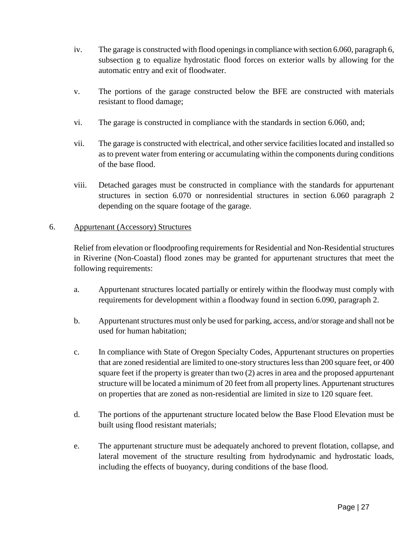- iv. The garage is constructed with flood openings in compliance with section 6.060, paragraph 6, subsection g to equalize hydrostatic flood forces on exterior walls by allowing for the automatic entry and exit of floodwater.
- v. The portions of the garage constructed below the BFE are constructed with materials resistant to flood damage;
- vi. The garage is constructed in compliance with the standards in section 6.060, and;
- vii. The garage is constructed with electrical, and other service facilities located and installed so as to prevent water from entering or accumulating within the components during conditions of the base flood.
- viii. Detached garages must be constructed in compliance with the standards for appurtenant structures in section 6.070 or nonresidential structures in section 6.060 paragraph 2 depending on the square footage of the garage.

### 6. Appurtenant (Accessory) Structures

Relief from elevation or floodproofing requirements for Residential and Non-Residential structures in Riverine (Non-Coastal) flood zones may be granted for appurtenant structures that meet the following requirements:

- a. Appurtenant structures located partially or entirely within the floodway must comply with requirements for development within a floodway found in section 6.090, paragraph 2.
- b. Appurtenant structures must only be used for parking, access, and/or storage and shall not be used for human habitation;
- c. In compliance with State of Oregon Specialty Codes, Appurtenant structures on properties that are zoned residential are limited to one-story structures less than 200 square feet, or 400 square feet if the property is greater than two (2) acres in area and the proposed appurtenant structure will be located a minimum of 20 feet from all property lines. Appurtenant structures on properties that are zoned as non-residential are limited in size to 120 square feet.
- d. The portions of the appurtenant structure located below the Base Flood Elevation must be built using flood resistant materials;
- e. The appurtenant structure must be adequately anchored to prevent flotation, collapse, and lateral movement of the structure resulting from hydrodynamic and hydrostatic loads, including the effects of buoyancy, during conditions of the base flood.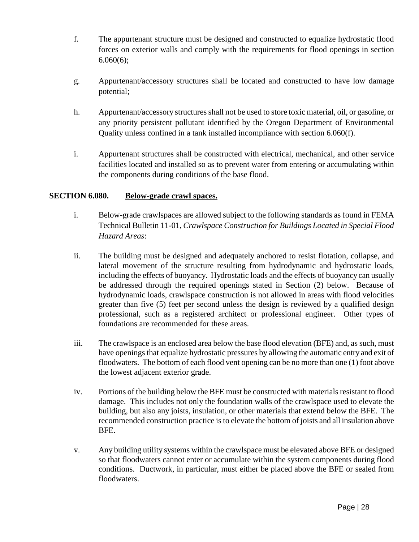- f. The appurtenant structure must be designed and constructed to equalize hydrostatic flood forces on exterior walls and comply with the requirements for flood openings in section 6.060(6);
- g. Appurtenant/accessory structures shall be located and constructed to have low damage potential;
- h. Appurtenant/accessory structures shall not be used to store toxic material, oil, or gasoline, or any priority persistent pollutant identified by the Oregon Department of Environmental Quality unless confined in a tank installed incompliance with section 6.060(f).
- i. Appurtenant structures shall be constructed with electrical, mechanical, and other service facilities located and installed so as to prevent water from entering or accumulating within the components during conditions of the base flood.

# **SECTION 6.080. Below-grade crawl spaces.**

- i. Below-grade crawlspaces are allowed subject to the following standards as found in FEMA Technical Bulletin 11-01, *Crawlspace Construction for Buildings Located in Special Flood Hazard Areas*:
- ii. The building must be designed and adequately anchored to resist flotation, collapse, and lateral movement of the structure resulting from hydrodynamic and hydrostatic loads, including the effects of buoyancy. Hydrostatic loads and the effects of buoyancy can usually be addressed through the required openings stated in Section (2) below. Because of hydrodynamic loads, crawlspace construction is not allowed in areas with flood velocities greater than five (5) feet per second unless the design is reviewed by a qualified design professional, such as a registered architect or professional engineer. Other types of foundations are recommended for these areas.
- iii. The crawlspace is an enclosed area below the base flood elevation (BFE) and, as such, must have openings that equalize hydrostatic pressures by allowing the automatic entry and exit of floodwaters. The bottom of each flood vent opening can be no more than one (1) foot above the lowest adjacent exterior grade.
- iv. Portions of the building below the BFE must be constructed with materials resistant to flood damage. This includes not only the foundation walls of the crawlspace used to elevate the building, but also any joists, insulation, or other materials that extend below the BFE. The recommended construction practice is to elevate the bottom of joists and all insulation above BFE.
- v. Any building utility systems within the crawlspace must be elevated above BFE or designed so that floodwaters cannot enter or accumulate within the system components during flood conditions. Ductwork, in particular, must either be placed above the BFE or sealed from floodwaters.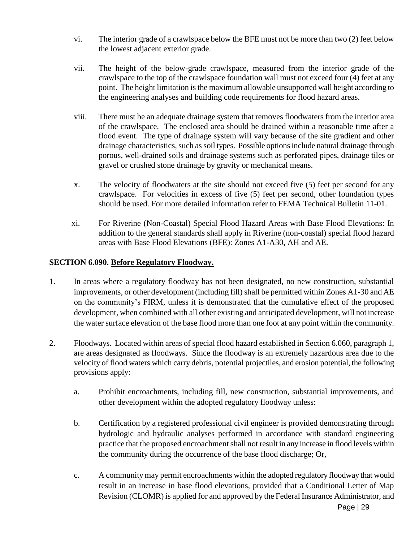- vi. The interior grade of a crawlspace below the BFE must not be more than two (2) feet below the lowest adjacent exterior grade.
- vii. The height of the below-grade crawlspace, measured from the interior grade of the crawlspace to the top of the crawlspace foundation wall must not exceed four (4) feet at any point. The height limitation is the maximum allowable unsupported wall height according to the engineering analyses and building code requirements for flood hazard areas.
- viii. There must be an adequate drainage system that removes floodwaters from the interior area of the crawlspace. The enclosed area should be drained within a reasonable time after a flood event. The type of drainage system will vary because of the site gradient and other drainage characteristics, such as soil types. Possible options include natural drainage through porous, well-drained soils and drainage systems such as perforated pipes, drainage tiles or gravel or crushed stone drainage by gravity or mechanical means.
- x. The velocity of floodwaters at the site should not exceed five (5) feet per second for any crawlspace. For velocities in excess of five (5) feet per second, other foundation types should be used. For more detailed information refer to FEMA Technical Bulletin 11-01.
- xi. For Riverine (Non-Coastal) Special Flood Hazard Areas with Base Flood Elevations: In addition to the general standards shall apply in Riverine (non-coastal) special flood hazard areas with Base Flood Elevations (BFE): Zones A1-A30, AH and AE.

# **SECTION 6.090. Before Regulatory Floodway.**

- 1. In areas where a regulatory floodway has not been designated, no new construction, substantial improvements, or other development (including fill) shall be permitted within Zones A1-30 and AE on the community's FIRM, unless it is demonstrated that the cumulative effect of the proposed development, when combined with all other existing and anticipated development, will not increase the water surface elevation of the base flood more than one foot at any point within the community.
- 2. Floodways. Located within areas of special flood hazard established in Section 6.060, paragraph 1, are areas designated as floodways. Since the floodway is an extremely hazardous area due to the velocity of flood waters which carry debris, potential projectiles, and erosion potential, the following provisions apply:
	- a. Prohibit encroachments, including fill, new construction, substantial improvements, and other development within the adopted regulatory floodway unless:
	- b. Certification by a registered professional civil engineer is provided demonstrating through hydrologic and hydraulic analyses performed in accordance with standard engineering practice that the proposed encroachment shall not result in any increase in flood levels within the community during the occurrence of the base flood discharge; Or,
	- c. A community may permit encroachments within the adopted regulatory floodway that would result in an increase in base flood elevations, provided that a Conditional Letter of Map Revision (CLOMR) is applied for and approved by the Federal Insurance Administrator, and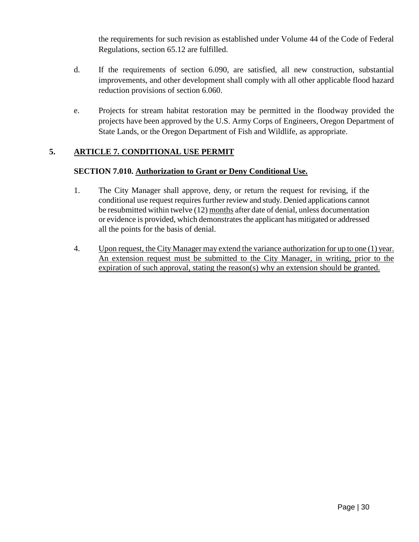the requirements for such revision as established under Volume 44 of the Code of Federal Regulations, section 65.12 are fulfilled.

- d. If the requirements of section 6.090, are satisfied, all new construction, substantial improvements, and other development shall comply with all other applicable flood hazard reduction provisions of section 6.060.
- e. Projects for stream habitat restoration may be permitted in the floodway provided the projects have been approved by the U.S. Army Corps of Engineers, Oregon Department of State Lands, or the Oregon Department of Fish and Wildlife, as appropriate.

# **5. ARTICLE 7. CONDITIONAL USE PERMIT**

# **SECTION 7.010. Authorization to Grant or Deny Conditional Use.**

- 1. The City Manager shall approve, deny, or return the request for revising, if the conditional use request requires further review and study. Denied applications cannot be resubmitted within twelve (12) months after date of denial, unless documentation or evidence is provided, which demonstrates the applicant has mitigated or addressed all the points for the basis of denial.
- 4. Upon request, the City Manager may extend the variance authorization for up to one (1) year. An extension request must be submitted to the City Manager, in writing, prior to the expiration of such approval, stating the reason(s) why an extension should be granted.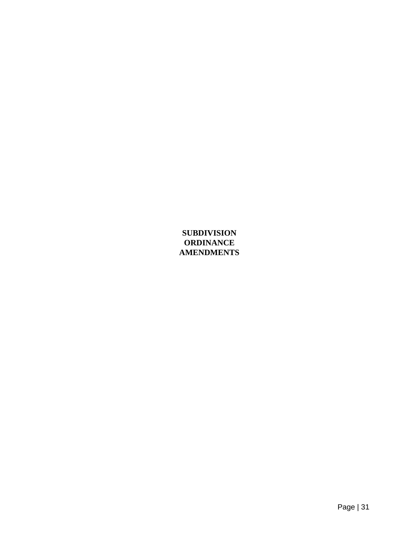# **SUBDIVISION ORDINANCE AMENDMENTS**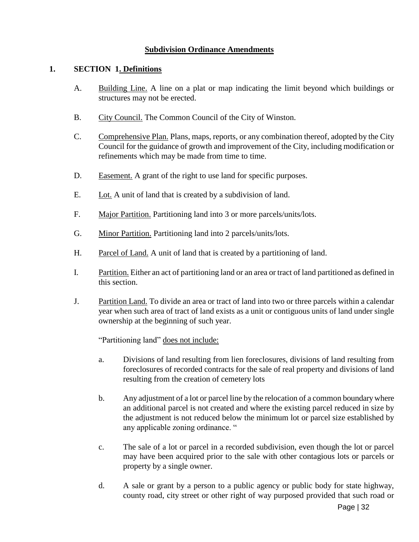### **Subdivision Ordinance Amendments**

#### **1. SECTION 1. Definitions**

- A. Building Line. A line on a plat or map indicating the limit beyond which buildings or structures may not be erected.
- B. City Council. The Common Council of the City of Winston.
- C. Comprehensive Plan. Plans, maps, reports, or any combination thereof, adopted by the City Council for the guidance of growth and improvement of the City, including modification or refinements which may be made from time to time.
- D. Easement. A grant of the right to use land for specific purposes.
- E. Lot. A unit of land that is created by a subdivision of land.
- F. Major Partition. Partitioning land into 3 or more parcels/units/lots.
- G. Minor Partition. Partitioning land into 2 parcels/units/lots.
- H. Parcel of Land. A unit of land that is created by a partitioning of land.
- I. Partition. Either an act of partitioning land or an area or tract of land partitioned as defined in this section.
- J. Partition Land. To divide an area or tract of land into two or three parcels within a calendar year when such area of tract of land exists as a unit or contiguous units of land under single ownership at the beginning of such year.

"Partitioning land" does not include:

- a. Divisions of land resulting from lien foreclosures, divisions of land resulting from foreclosures of recorded contracts for the sale of real property and divisions of land resulting from the creation of cemetery lots
- b. Any adjustment of a lot or parcel line by the relocation of a common boundary where an additional parcel is not created and where the existing parcel reduced in size by the adjustment is not reduced below the minimum lot or parcel size established by any applicable zoning ordinance. "
- c. The sale of a lot or parcel in a recorded subdivision, even though the lot or parcel may have been acquired prior to the sale with other contagious lots or parcels or property by a single owner.
- d. A sale or grant by a person to a public agency or public body for state highway, county road, city street or other right of way purposed provided that such road or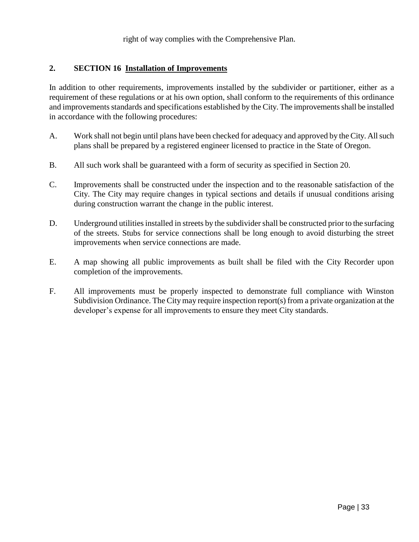right of way complies with the Comprehensive Plan.

#### **2. SECTION 16 Installation of Improvements**

In addition to other requirements, improvements installed by the subdivider or partitioner, either as a requirement of these regulations or at his own option, shall conform to the requirements of this ordinance and improvements standards and specifications established by the City. The improvements shall be installed in accordance with the following procedures:

- A. Work shall not begin until plans have been checked for adequacy and approved by the City. All such plans shall be prepared by a registered engineer licensed to practice in the State of Oregon.
- B. All such work shall be guaranteed with a form of security as specified in Section 20.
- C. Improvements shall be constructed under the inspection and to the reasonable satisfaction of the City. The City may require changes in typical sections and details if unusual conditions arising during construction warrant the change in the public interest.
- D. Underground utilities installed in streets by the subdivider shall be constructed prior to the surfacing of the streets. Stubs for service connections shall be long enough to avoid disturbing the street improvements when service connections are made.
- E. A map showing all public improvements as built shall be filed with the City Recorder upon completion of the improvements.
- F. All improvements must be properly inspected to demonstrate full compliance with Winston Subdivision Ordinance. The City may require inspection report(s) from a private organization at the developer's expense for all improvements to ensure they meet City standards.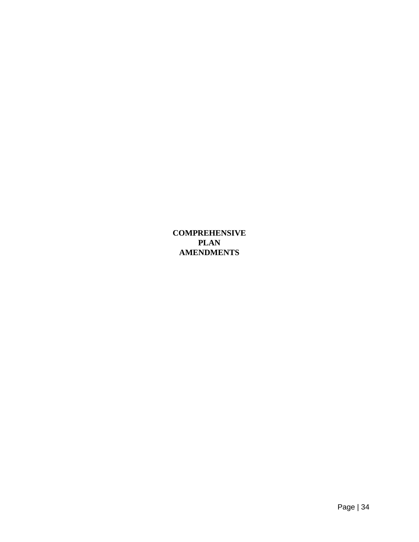**COMPREHENSIVE PLAN AMENDMENTS**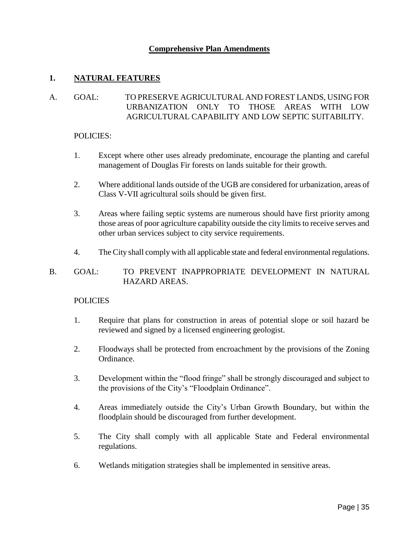### **Comprehensive Plan Amendments**

### **1. NATURAL FEATURES**

# A. GOAL: TO PRESERVE AGRICULTURAL AND FOREST LANDS, USING FOR URBANIZATION ONLY TO THOSE AREAS WITH LOW AGRICULTURAL CAPABILITY AND LOW SEPTIC SUITABILITY.

#### POLICIES:

- 1. Except where other uses already predominate, encourage the planting and careful management of Douglas Fir forests on lands suitable for their growth.
- 2. Where additional lands outside of the UGB are considered for urbanization, areas of Class V-VII agricultural soils should be given first.
- 3. Areas where failing septic systems are numerous should have first priority among those areas of poor agriculture capability outside the city limits to receive serves and other urban services subject to city service requirements.
- 4. The City shall comply with all applicable state and federal environmental regulations.

### B. GOAL: TO PREVENT INAPPROPRIATE DEVELOPMENT IN NATURAL HAZARD AREAS.

#### **POLICIES**

- 1. Require that plans for construction in areas of potential slope or soil hazard be reviewed and signed by a licensed engineering geologist.
- 2. Floodways shall be protected from encroachment by the provisions of the Zoning Ordinance.
- 3. Development within the "flood fringe" shall be strongly discouraged and subject to the provisions of the City's "Floodplain Ordinance".
- 4. Areas immediately outside the City's Urban Growth Boundary, but within the floodplain should be discouraged from further development.
- 5. The City shall comply with all applicable State and Federal environmental regulations.
- 6. Wetlands mitigation strategies shall be implemented in sensitive areas.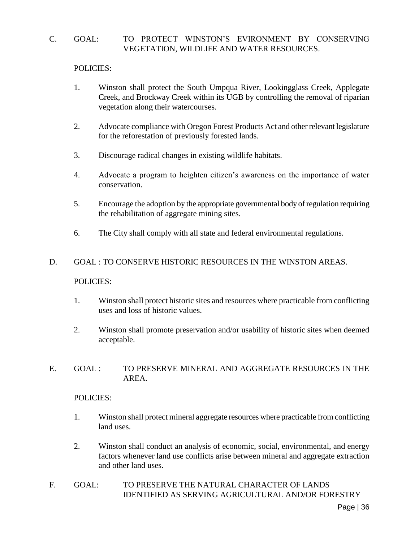# C. GOAL: TO PROTECT WINSTON'S EVIRONMENT BY CONSERVING VEGETATION, WILDLIFE AND WATER RESOURCES.

### POLICIES:

- 1. Winston shall protect the South Umpqua River, Lookingglass Creek, Applegate Creek, and Brockway Creek within its UGB by controlling the removal of riparian vegetation along their watercourses.
- 2. Advocate compliance with Oregon Forest Products Act and other relevant legislature for the reforestation of previously forested lands.
- 3. Discourage radical changes in existing wildlife habitats.
- 4. Advocate a program to heighten citizen's awareness on the importance of water conservation.
- 5. Encourage the adoption by the appropriate governmental body of regulation requiring the rehabilitation of aggregate mining sites.
- 6. The City shall comply with all state and federal environmental regulations.

### D. GOAL : TO CONSERVE HISTORIC RESOURCES IN THE WINSTON AREAS.

#### POLICIES:

- 1. Winston shall protect historic sites and resources where practicable from conflicting uses and loss of historic values.
- 2. Winston shall promote preservation and/or usability of historic sites when deemed acceptable.

#### E. GOAL : TO PRESERVE MINERAL AND AGGREGATE RESOURCES IN THE AREA.

#### POLICIES:

- 1. Winston shall protect mineral aggregate resources where practicable from conflicting land uses.
- 2. Winston shall conduct an analysis of economic, social, environmental, and energy factors whenever land use conflicts arise between mineral and aggregate extraction and other land uses.
- F. GOAL: TO PRESERVE THE NATURAL CHARACTER OF LANDS IDENTIFIED AS SERVING AGRICULTURAL AND/OR FORESTRY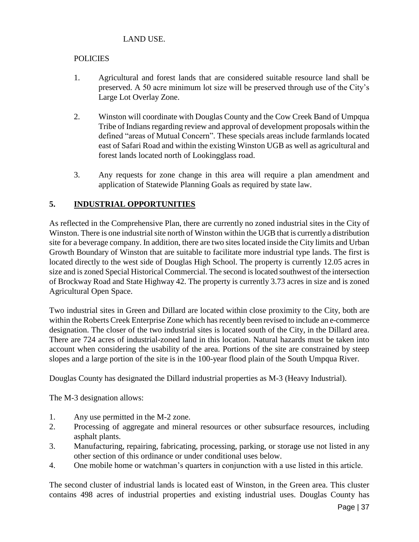# LAND USE.

# POLICIES

- 1. Agricultural and forest lands that are considered suitable resource land shall be preserved. A 50 acre minimum lot size will be preserved through use of the City's Large Lot Overlay Zone.
- 2. Winston will coordinate with Douglas County and the Cow Creek Band of Umpqua Tribe of Indians regarding review and approval of development proposals within the defined "areas of Mutual Concern". These specials areas include farmlands located east of Safari Road and within the existing Winston UGB as well as agricultural and forest lands located north of Lookingglass road.
- 3. Any requests for zone change in this area will require a plan amendment and application of Statewide Planning Goals as required by state law.

# **5. INDUSTRIAL OPPORTUNITIES**

As reflected in the Comprehensive Plan, there are currently no zoned industrial sites in the City of Winston. There is one industrial site north of Winston within the UGB that is currently a distribution site for a beverage company. In addition, there are two sites located inside the City limits and Urban Growth Boundary of Winston that are suitable to facilitate more industrial type lands. The first is located directly to the west side of Douglas High School. The property is currently 12.05 acres in size and is zoned Special Historical Commercial. The second is located southwest of the intersection of Brockway Road and State Highway 42. The property is currently 3.73 acres in size and is zoned Agricultural Open Space.

Two industrial sites in Green and Dillard are located within close proximity to the City, both are within the Roberts Creek Enterprise Zone which has recently been revised to include an e-commerce designation. The closer of the two industrial sites is located south of the City, in the Dillard area. There are 724 acres of industrial-zoned land in this location. Natural hazards must be taken into account when considering the usability of the area. Portions of the site are constrained by steep slopes and a large portion of the site is in the 100-year flood plain of the South Umpqua River.

Douglas County has designated the Dillard industrial properties as M-3 (Heavy Industrial).

The M-3 designation allows:

- 1. Any use permitted in the M-2 zone.
- 2. Processing of aggregate and mineral resources or other subsurface resources, including asphalt plants.
- 3. Manufacturing, repairing, fabricating, processing, parking, or storage use not listed in any other section of this ordinance or under conditional uses below.
- 4. One mobile home or watchman's quarters in conjunction with a use listed in this article.

The second cluster of industrial lands is located east of Winston, in the Green area. This cluster contains 498 acres of industrial properties and existing industrial uses. Douglas County has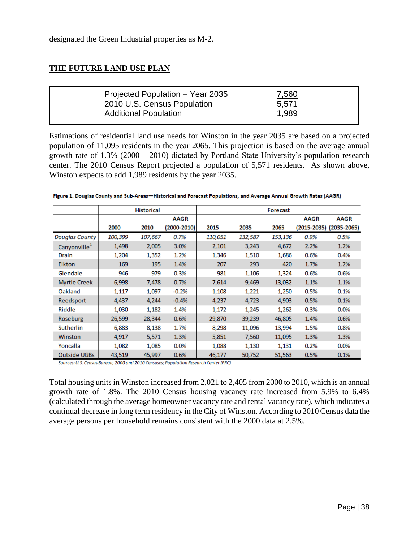# **THE FUTURE LAND USE PLAN**

|--|

Estimations of residential land use needs for Winston in the year 2035 are based on a projected population of 11,095 residents in the year 2065. This projection is based on the average annual growth rate of 1.3% (2000 – 2010) dictated by Portland State University's population research center. The 2010 Census Report projected a population of 5,571 residents. As shown above, Winston expects to add 1,989 residents by the year 2035.

Figure 1. Douglas County and Sub-Areas-Historical and Forecast Populations, and Average Annual Growth Rates (AAGR)

|                          |         | <b>Historical</b> |             |         |         | <b>Forecast</b> |             |                         |
|--------------------------|---------|-------------------|-------------|---------|---------|-----------------|-------------|-------------------------|
|                          |         |                   | <b>AAGR</b> |         |         |                 | <b>AAGR</b> | <b>AAGR</b>             |
|                          | 2000    | 2010              | (2000-2010) | 2015    | 2035    | 2065            |             | (2015-2035) (2035-2065) |
| <b>Douglas County</b>    | 100,399 | 107,667           | 0.7%        | 110,051 | 132,587 | 153,136         | 0.9%        | 0.5%                    |
| Canyonville <sup>1</sup> | 1,498   | 2,005             | 3.0%        | 2,101   | 3,243   | 4,672           | 2.2%        | 1.2%                    |
| Drain                    | 1,204   | 1,352             | 1.2%        | 1,346   | 1,510   | 1,686           | 0.6%        | 0.4%                    |
| <b>Elkton</b>            | 169     | 195               | 1.4%        | 207     | 293     | 420             | 1.7%        | 1.2%                    |
| Glendale                 | 946     | 979               | 0.3%        | 981     | 1,106   | 1,324           | 0.6%        | 0.6%                    |
| <b>Myrtle Creek</b>      | 6,998   | 7,478             | 0.7%        | 7,614   | 9,469   | 13,032          | 1.1%        | 1.1%                    |
| Oakland                  | 1,117   | 1,097             | $-0.2%$     | 1,108   | 1,221   | 1,250           | 0.5%        | 0.1%                    |
| Reedsport                | 4,437   | 4,244             | $-0.4%$     | 4,237   | 4,723   | 4,903           | 0.5%        | 0.1%                    |
| Riddle                   | 1,030   | 1,182             | 1.4%        | 1,172   | 1,245   | 1,262           | 0.3%        | 0.0%                    |
| Roseburg                 | 26,599  | 28,344            | 0.6%        | 29,870  | 39,239  | 46,805          | 1.4%        | 0.6%                    |
| Sutherlin                | 6,883   | 8,138             | 1.7%        | 8,298   | 11,096  | 13,994          | 1.5%        | 0.8%                    |
| Winston                  | 4,917   | 5,571             | 1.3%        | 5,851   | 7,560   | 11,095          | 1.3%        | 1.3%                    |
| Yoncalla                 | 1,082   | 1,085             | 0.0%        | 1,088   | 1,130   | 1,131           | 0.2%        | 0.0%                    |
| <b>Outside UGBs</b>      | 43,519  | 45,997            | 0.6%        | 46,177  | 50,752  | 51,563          | 0.5%        | 0.1%                    |

Sources: U.S. Census Bureau, 2000 and 2010 Censuses; Population Research Center (PRC)

Total housing units in Winston increased from 2,021 to 2,405 from 2000 to 2010, which is an annual growth rate of 1.8%. The 2010 Census housing vacancy rate increased from 5.9% to 6.4% (calculated through the average homeowner vacancy rate and rental vacancy rate), which indicates a continual decrease in long term residency in the City of Winston. According to 2010 Census data the average persons per household remains consistent with the 2000 data at 2.5%.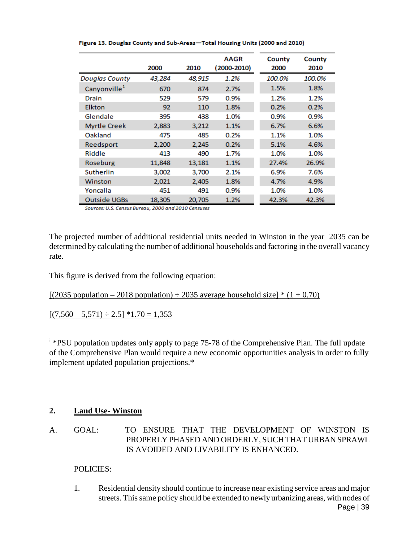|                          | 2000   | 2010   | <b>AAGR</b><br>$(2000 - 2010)$ | County<br>2000 | County<br>2010 |
|--------------------------|--------|--------|--------------------------------|----------------|----------------|
| <b>Douglas County</b>    | 43,284 | 48,915 | 1.2%                           | 100.0%         | 100.0%         |
| Canyonville <sup>1</sup> | 670    | 874    | 2.7%                           | 1.5%           | 1.8%           |
| Drain                    | 529    | 579    | 0.9%                           | 1.2%           | 1.2%           |
| <b>Elkton</b>            | 92     | 110    | 1.8%                           | 0.2%           | 0.2%           |
| Glendale                 | 395    | 438    | 1.0%                           | 0.9%           | 0.9%           |
| <b>Myrtle Creek</b>      | 2,883  | 3,212  | 1.1%                           | 6.7%           | 6.6%           |
| Oakland                  | 475    | 485    | 0.2%                           | 1.1%           | 1.0%           |
| Reedsport                | 2,200  | 2,245  | 0.2%                           | 5.1%           | 4.6%           |
| Riddle                   | 413    | 490    | 1.7%                           | 1.0%           | 1.0%           |
| Roseburg                 | 11,848 | 13,181 | 1.1%                           | 27.4%          | 26.9%          |
| Sutherlin                | 3,002  | 3,700  | 2.1%                           | 6.9%           | 7.6%           |
| Winston                  | 2,021  | 2.405  | 1.8%                           | 4.7%           | 4.9%           |
| Yoncalla                 | 451    | 491    | 0.9%                           | 1.0%           | 1.0%           |
| <b>Outside UGBs</b>      | 18,305 | 20,705 | 1.2%                           | 42.3%          | 42.3%          |

Figure 13. Douglas County and Sub-Areas-Total Housing Units (2000 and 2010)

Sources: U.S. Census Bureau, 2000 and 2010 Censuses

The projected number of additional residential units needed in Winston in the year 2035 can be determined by calculating the number of additional households and factoring in the overall vacancy rate.

This figure is derived from the following equation:

 $[(2035 population - 2018 population) \div 2035 average household size] * (1 + 0.70)$ 

 $[(7,560 - 5,571) \div 2.5] * 1.70 = 1,353$ 

<sup>i</sup> \*PSU population updates only apply to page 75-78 of the Comprehensive Plan. The full update of the Comprehensive Plan would require a new economic opportunities analysis in order to fully implement updated population projections.\*

#### **2. Land Use- Winston**

 $\overline{a}$ 

A. GOAL: TO ENSURE THAT THE DEVELOPMENT OF WINSTON IS PROPERLY PHASED AND ORDERLY, SUCH THAT URBAN SPRAWL IS AVOIDED AND LIVABILITY IS ENHANCED.

#### POLICIES:

Page | 39 1. Residential density should continue to increase near existing service areas and major streets. This same policy should be extended to newly urbanizing areas, with nodes of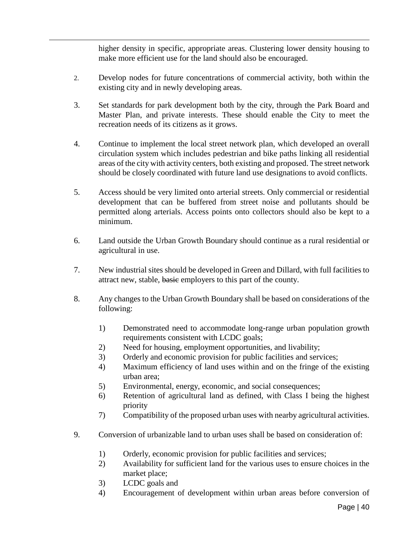higher density in specific, appropriate areas. Clustering lower density housing to make more efficient use for the land should also be encouraged.

- 2. Develop nodes for future concentrations of commercial activity, both within the existing city and in newly developing areas.
- 3. Set standards for park development both by the city, through the Park Board and Master Plan, and private interests. These should enable the City to meet the recreation needs of its citizens as it grows.
- 4. Continue to implement the local street network plan, which developed an overall circulation system which includes pedestrian and bike paths linking all residential areas of the city with activity centers, both existing and proposed. The street network should be closely coordinated with future land use designations to avoid conflicts.
- 5. Access should be very limited onto arterial streets. Only commercial or residential development that can be buffered from street noise and pollutants should be permitted along arterials. Access points onto collectors should also be kept to a minimum.
- 6. Land outside the Urban Growth Boundary should continue as a rural residential or agricultural in use.
- 7. New industrial sites should be developed in Green and Dillard, with full facilities to attract new, stable, basic employers to this part of the county.
- 8. Any changes to the Urban Growth Boundary shall be based on considerations of the following:
	- 1) Demonstrated need to accommodate long-range urban population growth requirements consistent with LCDC goals;
	- 2) Need for housing, employment opportunities, and livability;
	- 3) Orderly and economic provision for public facilities and services;
	- 4) Maximum efficiency of land uses within and on the fringe of the existing urban area;
	- 5) Environmental, energy, economic, and social consequences;
	- 6) Retention of agricultural land as defined, with Class I being the highest priority
	- 7) Compatibility of the proposed urban uses with nearby agricultural activities.
- 9. Conversion of urbanizable land to urban uses shall be based on consideration of:
	- 1) Orderly, economic provision for public facilities and services;
	- 2) Availability for sufficient land for the various uses to ensure choices in the market place;
	- 3) LCDC goals and

 $\overline{a}$ 

4) Encouragement of development within urban areas before conversion of